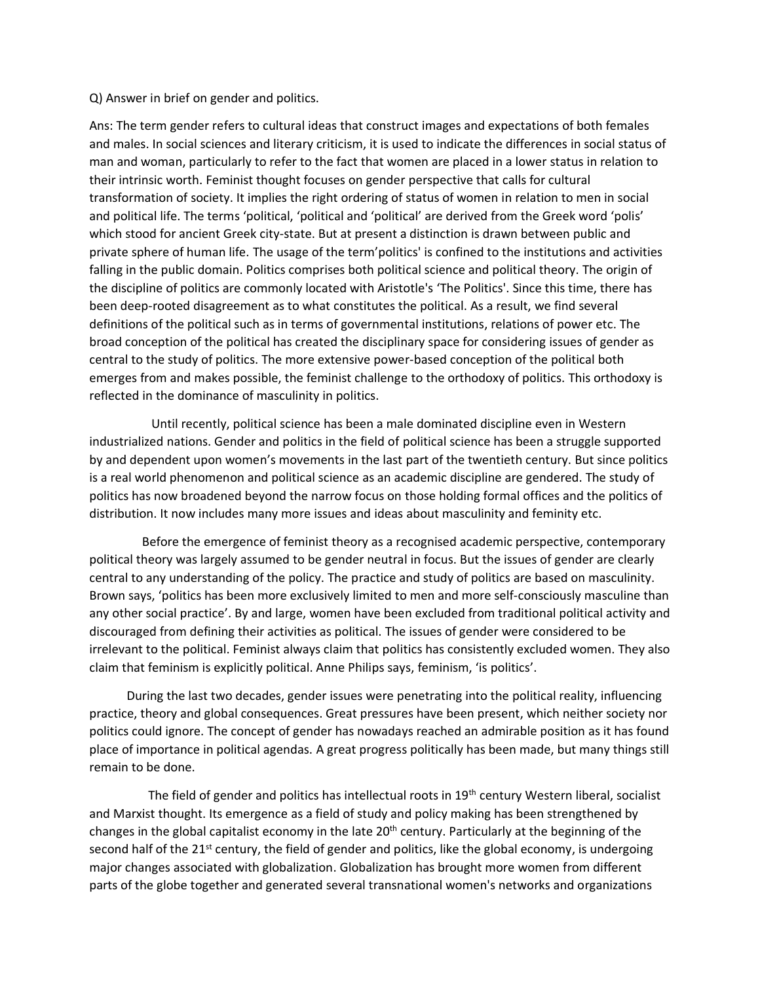## Q) Answer in brief on gender and politics.

Ans: The term gender refers to cultural ideas that construct images and expectations of both females and males. In social sciences and literary criticism, it is used to indicate the differences in social status of man and woman, particularly to refer to the fact that women are placed in a lower status in relation to their intrinsic worth. Feminist thought focuses on gender perspective that calls for cultural transformation of society. It implies the right ordering of status of women in relation to men in social and political life. The terms 'political, 'political and 'political' are derived from the Greek word 'polis' which stood for ancient Greek city-state. But at present a distinction is drawn between public and private sphere of human life. The usage of the term'politics' is confined to the institutions and activities falling in the public domain. Politics comprises both political science and political theory. The origin of the discipline of politics are commonly located with Aristotle's 'The Politics'. Since this time, there has been deep-rooted disagreement as to what constitutes the political. As a result, we find several definitions of the political such as in terms of governmental institutions, relations of power etc. The broad conception of the political has created the disciplinary space for considering issues of gender as central to the study of politics. The more extensive power-based conception of the political both emerges from and makes possible, the feminist challenge to the orthodoxy of politics. This orthodoxy is reflected in the dominance of masculinity in politics.

 Until recently, political science has been a male dominated discipline even in Western industrialized nations. Gender and politics in the field of political science has been a struggle supported by and dependent upon women's movements in the last part of the twentieth century. But since politics is a real world phenomenon and political science as an academic discipline are gendered. The study of politics has now broadened beyond the narrow focus on those holding formal offices and the politics of distribution. It now includes many more issues and ideas about masculinity and feminity etc.

 Before the emergence of feminist theory as a recognised academic perspective, contemporary political theory was largely assumed to be gender neutral in focus. But the issues of gender are clearly central to any understanding of the policy. The practice and study of politics are based on masculinity. Brown says, 'politics has been more exclusively limited to men and more self-consciously masculine than any other social practice'. By and large, women have been excluded from traditional political activity and discouraged from defining their activities as political. The issues of gender were considered to be irrelevant to the political. Feminist always claim that politics has consistently excluded women. They also claim that feminism is explicitly political. Anne Philips says, feminism, 'is politics'.

 During the last two decades, gender issues were penetrating into the political reality, influencing practice, theory and global consequences. Great pressures have been present, which neither society nor politics could ignore. The concept of gender has nowadays reached an admirable position as it has found place of importance in political agendas. A great progress politically has been made, but many things still remain to be done.

The field of gender and politics has intellectual roots in 19<sup>th</sup> century Western liberal, socialist and Marxist thought. Its emergence as a field of study and policy making has been strengthened by changes in the global capitalist economy in the late 20<sup>th</sup> century. Particularly at the beginning of the second half of the  $21^{st}$  century, the field of gender and politics, like the global economy, is undergoing major changes associated with globalization. Globalization has brought more women from different parts of the globe together and generated several transnational women's networks and organizations